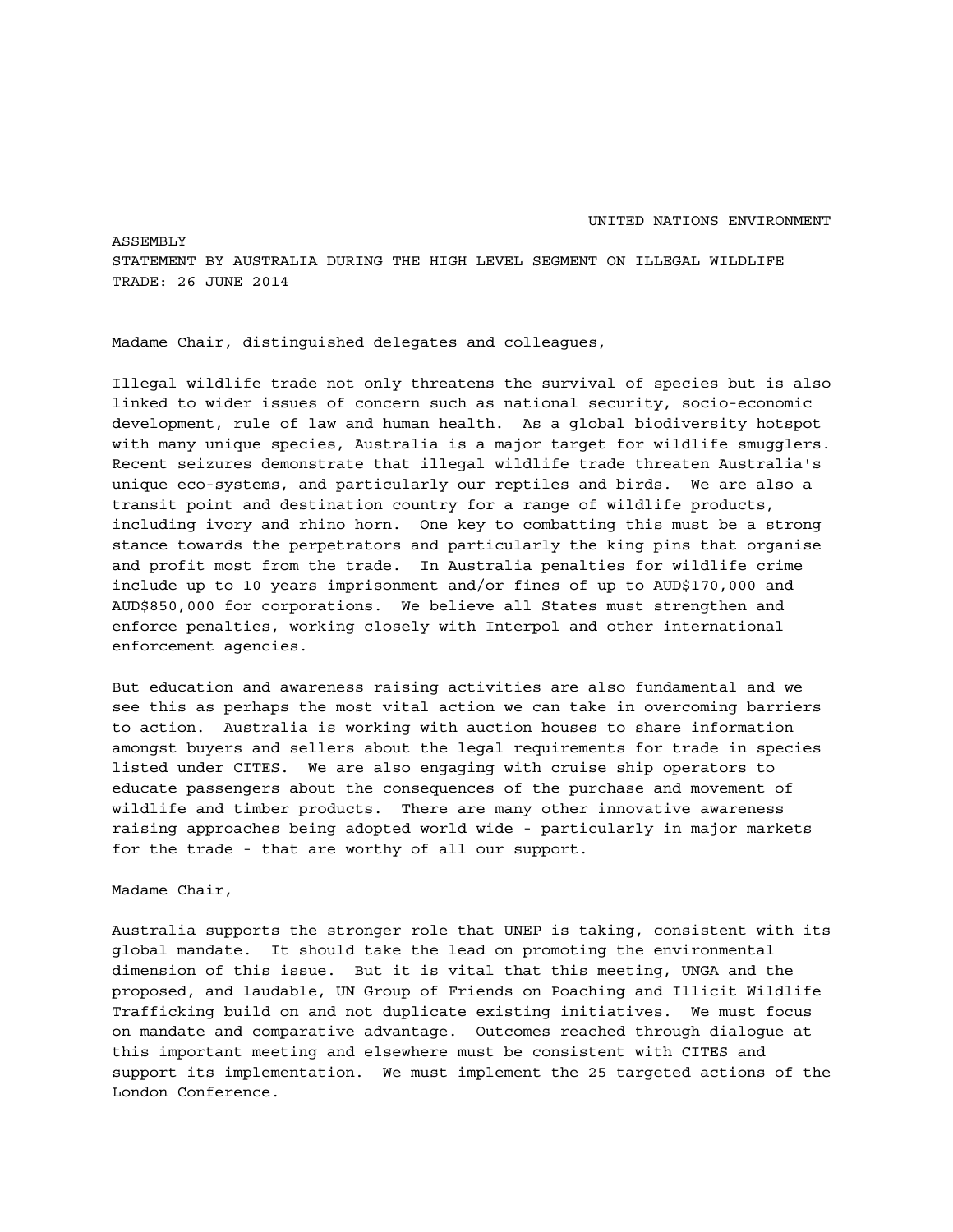## UNITED NATIONS ENVIRONMENT

ASSEMBLY STATEMENT BY AUSTRALIA DURING THE HIGH LEVEL SEGMENT ON ILLEGAL WILDLIFE TRADE: 26 JUNE 2014

Madame Chair, distinguished delegates and colleagues,

Illegal wildlife trade not only threatens the survival of species but is also linked to wider issues of concern such as national security, socio-economic development, rule of law and human health. As a global biodiversity hotspot with many unique species, Australia is a major target for wildlife smugglers. Recent seizures demonstrate that illegal wildlife trade threaten Australia's unique eco-systems, and particularly our reptiles and birds. We are also a transit point and destination country for a range of wildlife products, including ivory and rhino horn. One key to combatting this must be a strong stance towards the perpetrators and particularly the king pins that organise and profit most from the trade. In Australia penalties for wildlife crime include up to 10 years imprisonment and/or fines of up to AUD\$170,000 and AUD\$850,000 for corporations. We believe all States must strengthen and enforce penalties, working closely with Interpol and other international enforcement agencies.

But education and awareness raising activities are also fundamental and we see this as perhaps the most vital action we can take in overcoming barriers to action. Australia is working with auction houses to share information amongst buyers and sellers about the legal requirements for trade in species listed under CITES. We are also engaging with cruise ship operators to educate passengers about the consequences of the purchase and movement of wildlife and timber products. There are many other innovative awareness raising approaches being adopted world wide - particularly in major markets for the trade - that are worthy of all our support.

Madame Chair,

Australia supports the stronger role that UNEP is taking, consistent with its global mandate. It should take the lead on promoting the environmental dimension of this issue. But it is vital that this meeting, UNGA and the proposed, and laudable, UN Group of Friends on Poaching and Illicit Wildlife Trafficking build on and not duplicate existing initiatives. We must focus on mandate and comparative advantage. Outcomes reached through dialogue at this important meeting and elsewhere must be consistent with CITES and support its implementation. We must implement the 25 targeted actions of the London Conference.